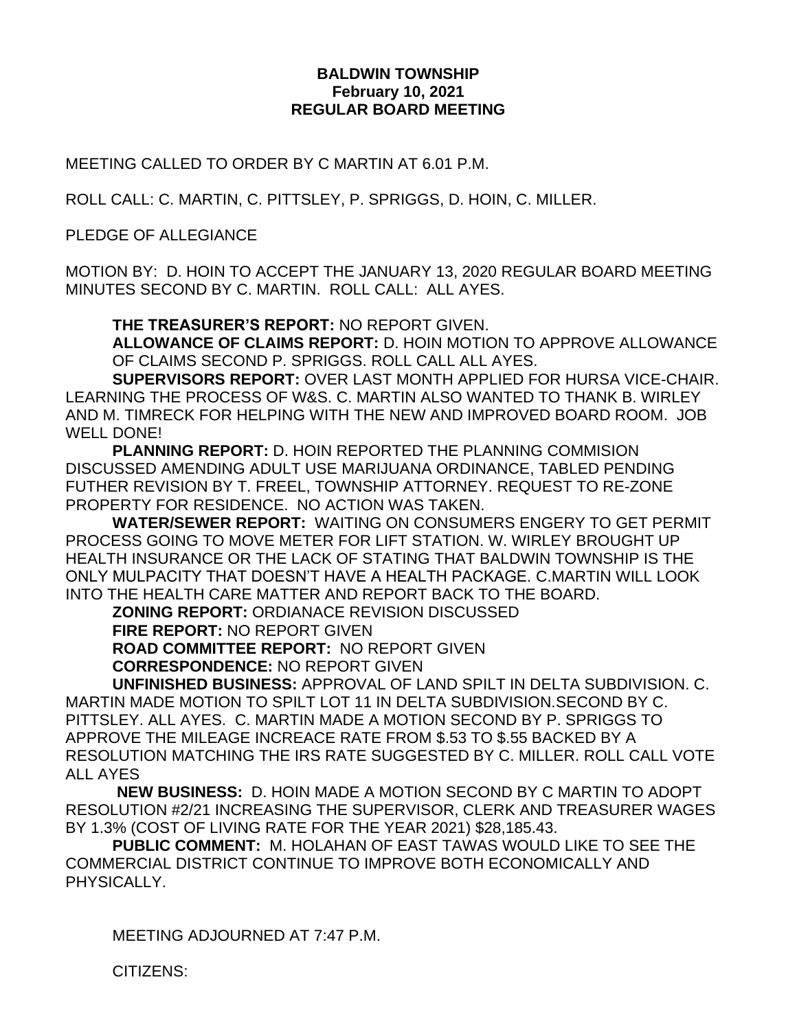## **BALDWIN TOWNSHIP February 10, 2021 REGULAR BOARD MEETING**

MEETING CALLED TO ORDER BY C MARTIN AT 6.01 P.M.

ROLL CALL: C. MARTIN, C. PITTSLEY, P. SPRIGGS, D. HOIN, C. MILLER.

PLEDGE OF ALLEGIANCE

MOTION BY: D. HOIN TO ACCEPT THE JANUARY 13, 2020 REGULAR BOARD MEETING MINUTES SECOND BY C. MARTIN. ROLL CALL: ALL AYES.

**THE TREASURER'S REPORT:** NO REPORT GIVEN.

**ALLOWANCE OF CLAIMS REPORT:** D. HOIN MOTION TO APPROVE ALLOWANCE OF CLAIMS SECOND P. SPRIGGS. ROLL CALL ALL AYES.

**SUPERVISORS REPORT:** OVER LAST MONTH APPLIED FOR HURSA VICE-CHAIR. LEARNING THE PROCESS OF W&S. C. MARTIN ALSO WANTED TO THANK B. WIRLEY AND M. TIMRECK FOR HELPING WITH THE NEW AND IMPROVED BOARD ROOM. JOB WELL DONE!

**PLANNING REPORT:** D. HOIN REPORTED THE PLANNING COMMISION DISCUSSED AMENDING ADULT USE MARIJUANA ORDINANCE, TABLED PENDING FUTHER REVISION BY T. FREEL, TOWNSHIP ATTORNEY. REQUEST TO RE-ZONE PROPERTY FOR RESIDENCE. NO ACTION WAS TAKEN.

**WATER/SEWER REPORT:** WAITING ON CONSUMERS ENGERY TO GET PERMIT PROCESS GOING TO MOVE METER FOR LIFT STATION. W. WIRLEY BROUGHT UP HEALTH INSURANCE OR THE LACK OF STATING THAT BALDWIN TOWNSHIP IS THE ONLY MULPACITY THAT DOESN'T HAVE A HEALTH PACKAGE. C.MARTIN WILL LOOK INTO THE HEALTH CARE MATTER AND REPORT BACK TO THE BOARD.

**ZONING REPORT:** ORDIANACE REVISION DISCUSSED **FIRE REPORT:** NO REPORT GIVEN **ROAD COMMITTEE REPORT:** NO REPORT GIVEN **CORRESPONDENCE:** NO REPORT GIVEN

**UNFINISHED BUSINESS:** APPROVAL OF LAND SPILT IN DELTA SUBDIVISION. C. MARTIN MADE MOTION TO SPILT LOT 11 IN DELTA SUBDIVISION.SECOND BY C. PITTSLEY. ALL AYES. C. MARTIN MADE A MOTION SECOND BY P. SPRIGGS TO APPROVE THE MILEAGE INCREACE RATE FROM \$.53 TO \$.55 BACKED BY A RESOLUTION MATCHING THE IRS RATE SUGGESTED BY C. MILLER. ROLL CALL VOTE ALL AYES

**NEW BUSINESS:** D. HOIN MADE A MOTION SECOND BY C MARTIN TO ADOPT RESOLUTION #2/21 INCREASING THE SUPERVISOR, CLERK AND TREASURER WAGES BY 1.3% (COST OF LIVING RATE FOR THE YEAR 2021) \$28,185.43.

**PUBLIC COMMENT:** M. HOLAHAN OF EAST TAWAS WOULD LIKE TO SEE THE COMMERCIAL DISTRICT CONTINUE TO IMPROVE BOTH ECONOMICALLY AND PHYSICALLY.

MEETING ADJOURNED AT 7:47 P.M.

CITIZENS: